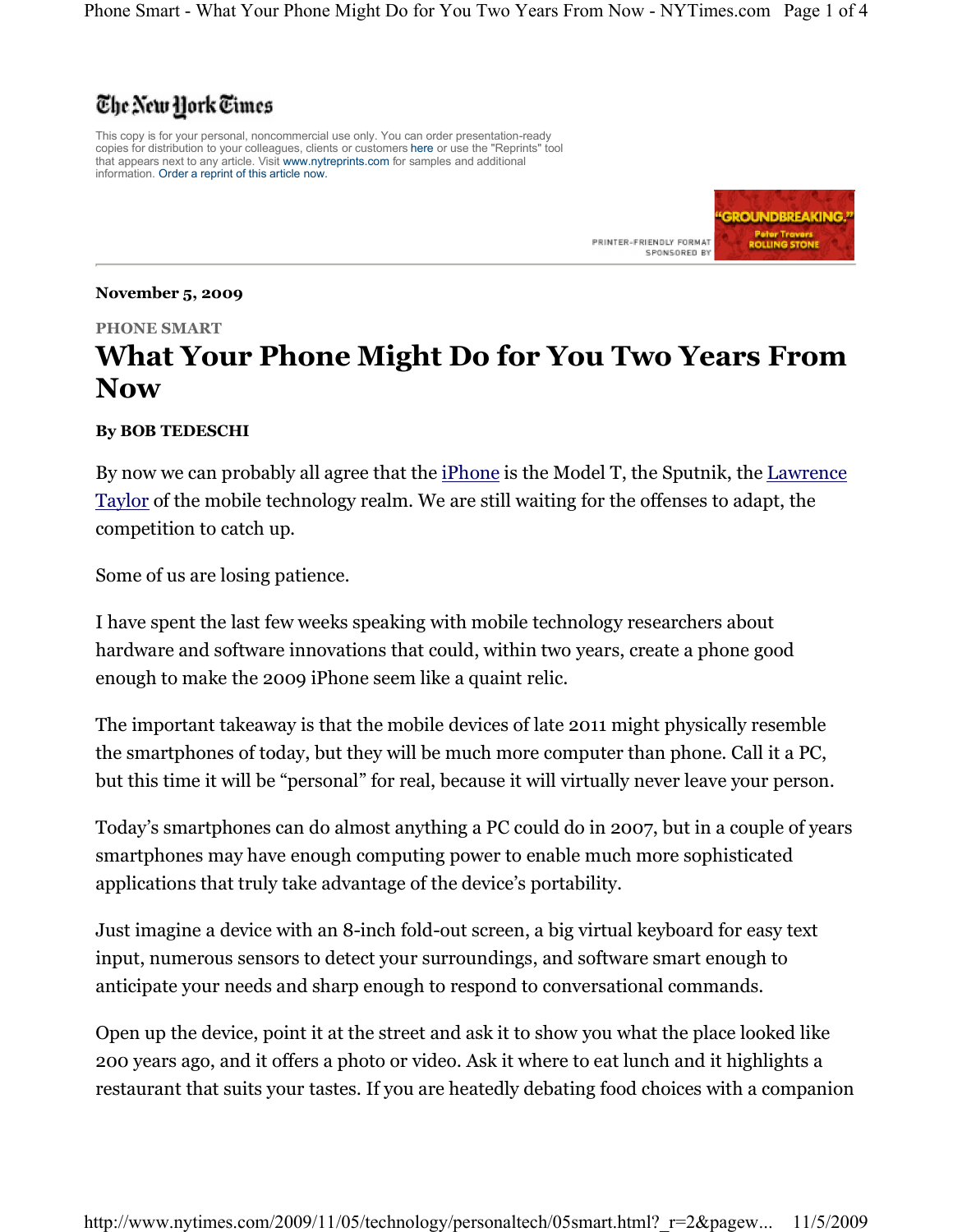## The New York Times

This copy is for your personal, noncommercial use only. You can order presentation-ready copies for distribution to your colleagues, clients or customers here or use the "Reprints" tool that appears next to any article. Visit www.nytreprints.com for samples and additional information. Order a reprint of this article now.

#### **November 5, 2009**

#### **PHONE SMART**

# **What Your Phone Might Do for You Two Years From Now**

**GROUNDBREAKING.' Reter Travers** 

PRINTER-FRIENDLY FORMAT SPONSORED BY

### **By BOB TEDESCHI**

By now we can probably all agree that the iPhone is the Model T, the Sputnik, the Lawrence Taylor of the mobile technology realm. We are still waiting for the offenses to adapt, the competition to catch up.

Some of us are losing patience.

I have spent the last few weeks speaking with mobile technology researchers about hardware and software innovations that could, within two years, create a phone good enough to make the 2009 iPhone seem like a quaint relic.

The important takeaway is that the mobile devices of late 2011 might physically resemble the smartphones of today, but they will be much more computer than phone. Call it a PC, but this time it will be "personal" for real, because it will virtually never leave your person.

Today's smartphones can do almost anything a PC could do in 2007, but in a couple of years smartphones may have enough computing power to enable much more sophisticated applications that truly take advantage of the device's portability.

Just imagine a device with an 8-inch fold-out screen, a big virtual keyboard for easy text input, numerous sensors to detect your surroundings, and software smart enough to anticipate your needs and sharp enough to respond to conversational commands.

Open up the device, point it at the street and ask it to show you what the place looked like 200 years ago, and it offers a photo or video. Ask it where to eat lunch and it highlights a restaurant that suits your tastes. If you are heatedly debating food choices with a companion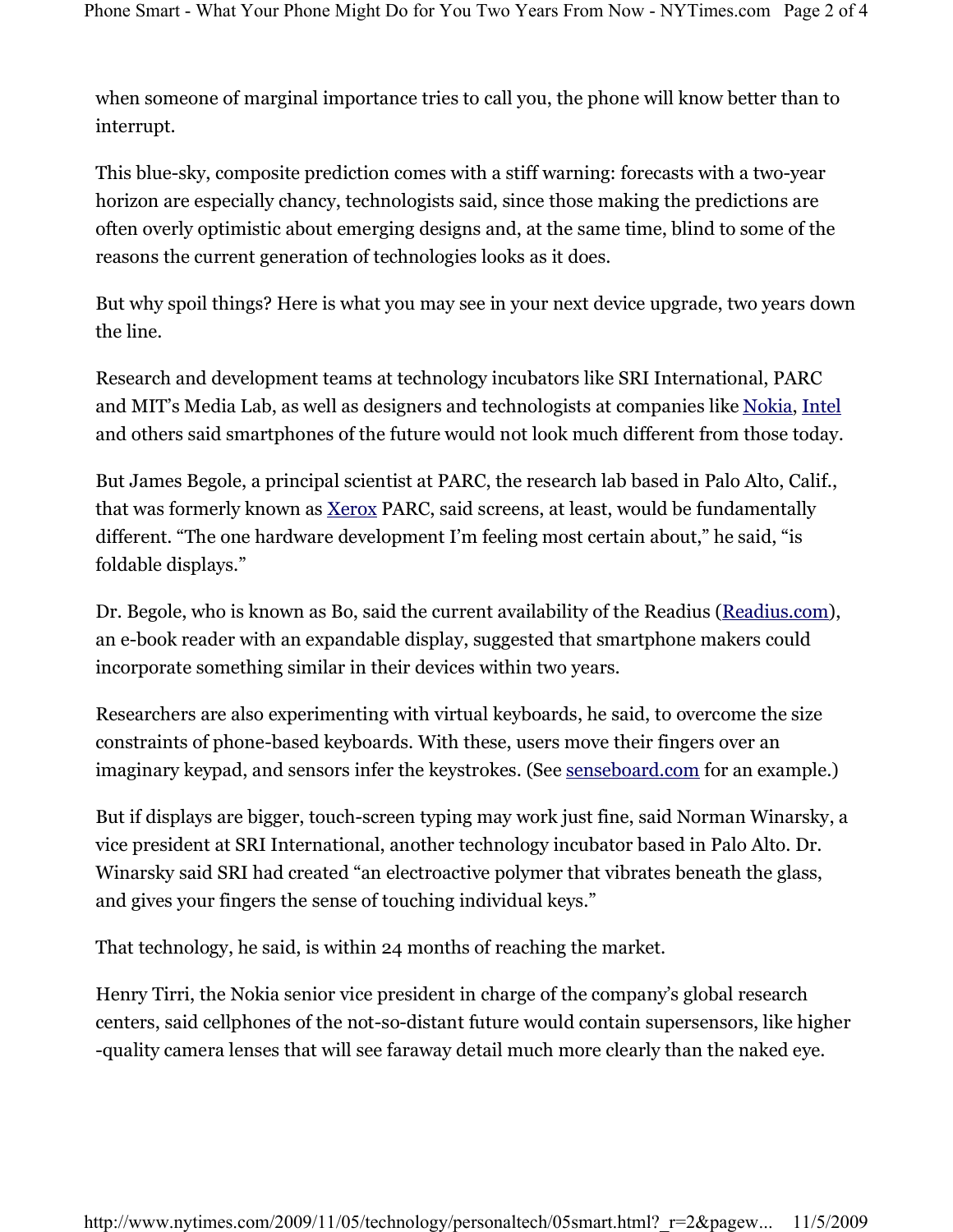when someone of marginal importance tries to call you, the phone will know better than to interrupt.

This blue-sky, composite prediction comes with a stiff warning: forecasts with a two-year horizon are especially chancy, technologists said, since those making the predictions are often overly optimistic about emerging designs and, at the same time, blind to some of the reasons the current generation of technologies looks as it does.

But why spoil things? Here is what you may see in your next device upgrade, two years down the line.

Research and development teams at technology incubators like SRI International, PARC and MIT's Media Lab, as well as designers and technologists at companies like Nokia, Intel and others said smartphones of the future would not look much different from those today.

But James Begole, a principal scientist at PARC, the research lab based in Palo Alto, Calif., that was formerly known as **Xerox PARC**, said screens, at least, would be fundamentally different. "The one hardware development I'm feeling most certain about," he said, "is foldable displays.´

Dr. Begole, who is known as Bo, said the current availability of the Readius (Readius.com), an e-book reader with an expandable display, suggested that smartphone makers could incorporate something similar in their devices within two years.

Researchers are also experimenting with virtual keyboards, he said, to overcome the size constraints of phone-based keyboards. With these, users move their fingers over an imaginary keypad, and sensors infer the keystrokes. (See senseboard.com for an example.)

But if displays are bigger, touch-screen typing may work just fine, said Norman Winarsky, a vice president at SRI International, another technology incubator based in Palo Alto. Dr. Winarsky said SRI had created "an electroactive polymer that vibrates beneath the glass, and gives your fingers the sense of touching individual keys."

That technology, he said, is within 24 months of reaching the market.

Henry Tirri, the Nokia senior vice president in charge of the company's global research centers, said cellphones of the not-so-distant future would contain supersensors, like higher -quality camera lenses that will see faraway detail much more clearly than the naked eye.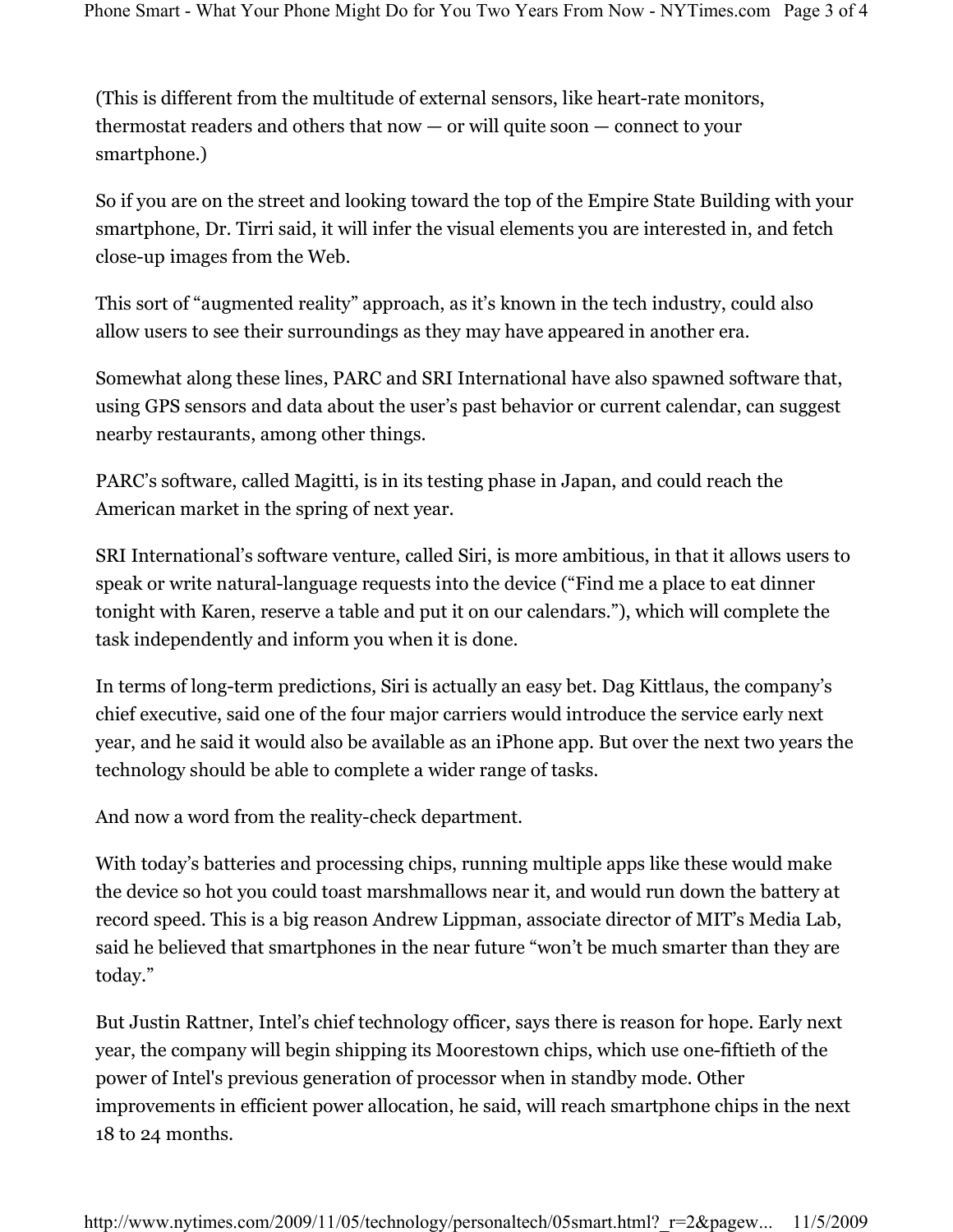(This is different from the multitude of external sensors, like heart-rate monitors, thermostat readers and others that now  $-$  or will quite soon  $-$  connect to your smartphone.)

So if you are on the street and looking toward the top of the Empire State Building with your smartphone, Dr. Tirri said, it will infer the visual elements you are interested in, and fetch close-up images from the Web.

This sort of "augmented reality" approach, as it's known in the tech industry, could also allow users to see their surroundings as they may have appeared in another era.

Somewhat along these lines, PARC and SRI International have also spawned software that, using GPS sensors and data about the user's past behavior or current calendar, can suggest nearby restaurants, among other things.

PARC's software, called Magitti, is in its testing phase in Japan, and could reach the American market in the spring of next year.

SRI International's software venture, called Siri, is more ambitious, in that it allows users to speak or write natural-language requests into the device ("Find me a place to eat dinner tonight with Karen, reserve a table and put it on our calendars.´), which will complete the task independently and inform you when it is done.

In terms of long-term predictions, Siri is actually an easy bet. Dag Kittlaus, the company's chief executive, said one of the four major carriers would introduce the service early next year, and he said it would also be available as an iPhone app. But over the next two years the technology should be able to complete a wider range of tasks.

And now a word from the reality-check department.

With today's batteries and processing chips, running multiple apps like these would make the device so hot you could toast marshmallows near it, and would run down the battery at record speed. This is a big reason Andrew Lippman, associate director of MIT's Media Lab, said he believed that smartphones in the near future "won't be much smarter than they are today.´

But Justin Rattner, Intel's chief technology officer, says there is reason for hope. Early next year, the company will begin shipping its Moorestown chips, which use one-fiftieth of the power of Intel's previous generation of processor when in standby mode. Other improvements in efficient power allocation, he said, will reach smartphone chips in the next 18 to 24 months.